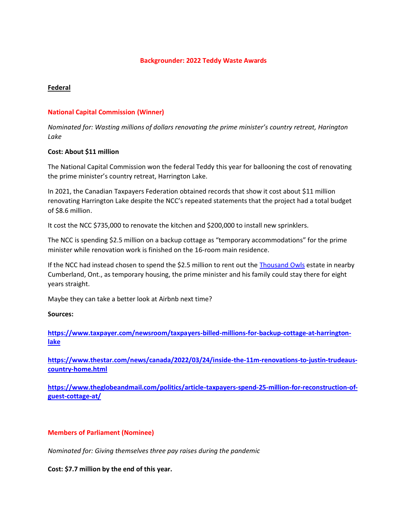### **Backgrounder: 2022 Teddy Waste Awards**

# **Federal**

# **National Capital Commission (Winner)**

*Nominated for: Wasting millions of dollars renovating the prime minister's country retreat, Harington Lake*

### **Cost: About \$11 million**

The National Capital Commission won the federal Teddy this year for ballooning the cost of renovating the prime minister's country retreat, Harrington Lake.

In 2021, the Canadian Taxpayers Federation obtained records that show it cost about \$11 million renovating Harrington Lake despite the NCC's repeated statements that the project had a total budget of \$8.6 million.

It cost the NCC \$735,000 to renovate the kitchen and \$200,000 to install new sprinklers.

The NCC is spending \$2.5 million on a backup cottage as "temporary accommodations" for the prime minister while renovation work is finished on the 16-room main residence.

If the NCC had instead chosen to spend the \$2.5 million to rent out the [Thousand Owls](https://www.cottagesincanada.com/32314) estate in nearby Cumberland, Ont., as temporary housing, the prime minister and his family could stay there for eight years straight.

Maybe they can take a better look at Airbnb next time?

**Sources:**

**[https://www.taxpayer.com/newsroom/taxpayers-billed-millions-for-backup-cottage-at-harrington](https://www.taxpayer.com/newsroom/taxpayers-billed-millions-for-backup-cottage-at-harrington-lake)[lake](https://www.taxpayer.com/newsroom/taxpayers-billed-millions-for-backup-cottage-at-harrington-lake)**

**[https://www.thestar.com/news/canada/2022/03/24/inside-the-11m-renovations-to-justin-trudeaus](https://www.thestar.com/news/canada/2022/03/24/inside-the-11m-renovations-to-justin-trudeaus-country-home.html)[country-home.html](https://www.thestar.com/news/canada/2022/03/24/inside-the-11m-renovations-to-justin-trudeaus-country-home.html)**

**[https://www.theglobeandmail.com/politics/article-taxpayers-spend-25-million-for-reconstruction-of](https://www.theglobeandmail.com/politics/article-taxpayers-spend-25-million-for-reconstruction-of-guest-cottage-at/)[guest-cottage-at/](https://www.theglobeandmail.com/politics/article-taxpayers-spend-25-million-for-reconstruction-of-guest-cottage-at/)**

## **Members of Parliament (Nominee)**

*Nominated for: Giving themselves three pay raises during the pandemic* 

**Cost: \$7.7 million by the end of this year.**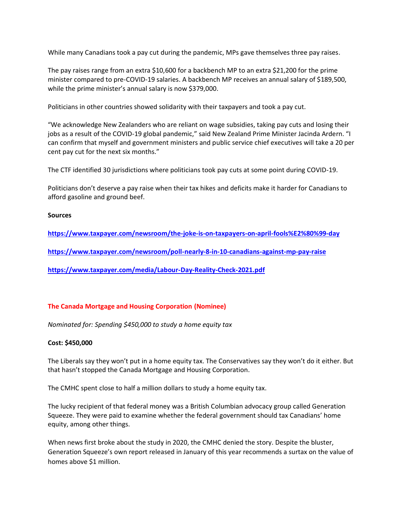While many Canadians took a pay cut during the pandemic, MPs gave themselves three pay raises.

The pay raises range from an extra \$10,600 for a backbench MP to an extra \$21,200 for the prime minister compared to pre-COVID-19 salaries. A backbench MP receives an annual salary of \$189,500, while the prime minister's annual salary is now \$379,000.

Politicians in other countries showed solidarity with their taxpayers and took a pay cut.

"We acknowledge New Zealanders who are reliant on wage subsidies, taking pay cuts and losing their jobs as a result of the COVID-19 global pandemic," said New Zealand Prime Minister Jacinda Ardern. "I can confirm that myself and government ministers and public service chief executives will take a 20 per cent pay cut for the next six months."

The CTF identified 30 jurisdictions where politicians took pay cuts at some point during COVID-19.

Politicians don't deserve a pay raise when their tax hikes and deficits make it harder for Canadians to afford gasoline and ground beef.

### **Sources**

**<https://www.taxpayer.com/newsroom/the-joke-is-on-taxpayers-on-april-fools%E2%80%99-day>**

**<https://www.taxpayer.com/newsroom/poll-nearly-8-in-10-canadians-against-mp-pay-raise>**

**<https://www.taxpayer.com/media/Labour-Day-Reality-Check-2021.pdf>**

## **The Canada Mortgage and Housing Corporation (Nominee)**

*Nominated for: Spending \$450,000 to study a home equity tax* 

## **Cost: \$450,000**

The Liberals say they won't put in a home equity tax. The Conservatives say they won't do it either. But that hasn't stopped the Canada Mortgage and Housing Corporation.

The CMHC spent close to half a million dollars to study a home equity tax.

The lucky recipient of that federal money was a British Columbian advocacy group called Generation Squeeze. They were paid to examine whether the federal government should tax Canadians' home equity, among other things.

When news first broke about the study in 2020, the CMHC denied the story. Despite the bluster, Generation Squeeze's own report released in January of this year recommends a surtax on the value of homes above \$1 million.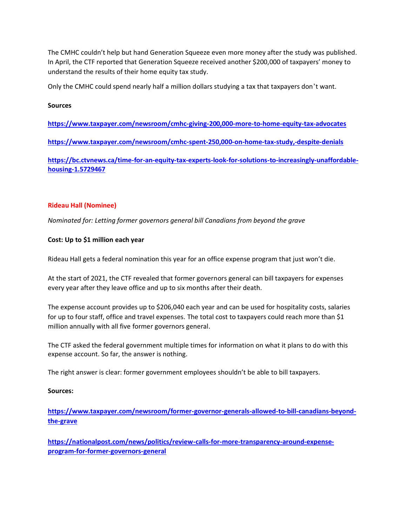The CMHC couldn't help but hand Generation Squeeze even more money after the study was published. In April, the CTF reported that Generation Squeeze received another \$200,000 of taxpayers' money to understand the results of their home equity tax study.

Only the CMHC could spend nearly half a million dollars studying a tax that taxpayers don't want.

### **Sources**

**<https://www.taxpayer.com/newsroom/cmhc-giving-200,000-more-to-home-equity-tax-advocates>**

**<https://www.taxpayer.com/newsroom/cmhc-spent-250,000-on-home-tax-study,-despite-denials>**

**[https://bc.ctvnews.ca/time-for-an-equity-tax-experts-look-for-solutions-to-increasingly-unaffordable](https://bc.ctvnews.ca/time-for-an-equity-tax-experts-look-for-solutions-to-increasingly-unaffordable-housing-1.5729467)[housing-1.5729467](https://bc.ctvnews.ca/time-for-an-equity-tax-experts-look-for-solutions-to-increasingly-unaffordable-housing-1.5729467)**

## **Rideau Hall (Nominee)**

*Nominated for: Letting former governors general bill Canadians from beyond the grave* 

## **Cost: Up to \$1 million each year**

Rideau Hall gets a federal nomination this year for an office expense program that just won't die.

At the start of 2021, the CTF revealed that former governors general can bill taxpayers for expenses every year after they leave office and up to six months after their death.

The expense account provides up to \$206,040 each year and can be used for hospitality costs, salaries for up to four staff, office and travel expenses. The total cost to taxpayers could reach more than \$1 million annually with all five former governors general.

The CTF asked the federal government multiple times for information on what it plans to do with this expense account. So far, the answer is nothing.

The right answer is clear: former government employees shouldn't be able to bill taxpayers.

## **Sources:**

**[https://www.taxpayer.com/newsroom/former-governor-generals-allowed-to-bill-canadians-beyond](https://www.taxpayer.com/newsroom/former-governor-generals-allowed-to-bill-canadians-beyond-the-grave)[the-grave](https://www.taxpayer.com/newsroom/former-governor-generals-allowed-to-bill-canadians-beyond-the-grave)**

**[https://nationalpost.com/news/politics/review-calls-for-more-transparency-around-expense](https://nationalpost.com/news/politics/review-calls-for-more-transparency-around-expense-program-for-former-governors-general)[program-for-former-governors-general](https://nationalpost.com/news/politics/review-calls-for-more-transparency-around-expense-program-for-former-governors-general)**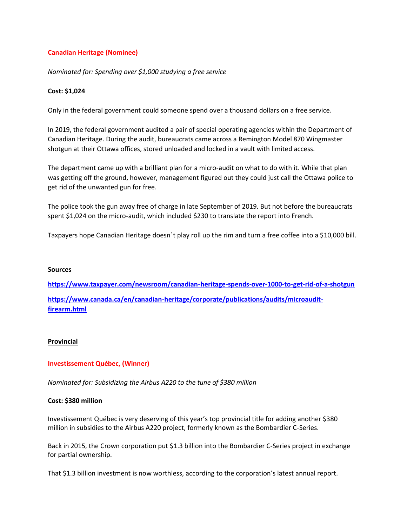# **Canadian Heritage (Nominee)**

*Nominated for: Spending over \$1,000 studying a free service*

## **Cost: \$1,024**

Only in the federal government could someone spend over a thousand dollars on a free service.

In 2019, the federal government audited a pair of special operating agencies within the Department of Canadian Heritage. During the audit, bureaucrats came across a Remington Model 870 Wingmaster shotgun at their Ottawa offices, stored unloaded and locked in a vault with limited access.

The department came up with a brilliant plan for a micro-audit on what to do with it. While that plan was getting off the ground, however, management figured out they could just call the Ottawa police to get rid of the unwanted gun for free.

The police took the gun away free of charge in late September of 2019. But not before the bureaucrats spent \$1,024 on the micro-audit, which included \$230 to translate the report into French.

Taxpayers hope Canadian Heritage doesn't play roll up the rim and turn a free coffee into a \$10,000 bill.

#### **Sources**

**<https://www.taxpayer.com/newsroom/canadian-heritage-spends-over-1000-to-get-rid-of-a-shotgun> [https://www.canada.ca/en/canadian-heritage/corporate/publications/audits/microaudit](https://www.canada.ca/en/canadian-heritage/corporate/publications/audits/microaudit-firearm.html)[firearm.html](https://www.canada.ca/en/canadian-heritage/corporate/publications/audits/microaudit-firearm.html)**

## **Provincial**

## **Investissement Québec, (Winner)**

*Nominated for: Subsidizing the Airbus A220 to the tune of \$380 million*

## **Cost: \$380 million**

Investissement Québec is very deserving of this year's top provincial title for adding another \$380 million in subsidies to the Airbus A220 project, formerly known as the Bombardier C-Series.

Back in 2015, the Crown corporation put \$1.3 billion into the Bombardier C-Series project in exchange for partial ownership.

That \$1.3 billion investment is now worthless, according to the corporation's latest annual report.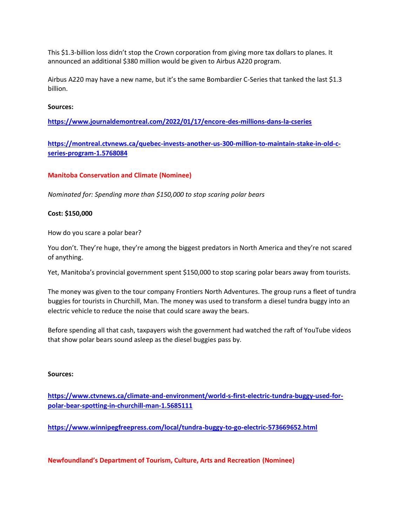This \$1.3-billion loss didn't stop the Crown corporation from giving more tax dollars to planes. It announced an additional \$380 million would be given to Airbus A220 program.

Airbus A220 may have a new name, but it's the same Bombardier C-Series that tanked the last \$1.3 billion.

### **Sources:**

**<https://www.journaldemontreal.com/2022/01/17/encore-des-millions-dans-la-cseries>**

**[https://montreal.ctvnews.ca/quebec-invests-another-us-300-million-to-maintain-stake-in-old-c](https://montreal.ctvnews.ca/quebec-invests-another-us-300-million-to-maintain-stake-in-old-c-series-program-1.5768084)[series-program-1.5768084](https://montreal.ctvnews.ca/quebec-invests-another-us-300-million-to-maintain-stake-in-old-c-series-program-1.5768084)**

### **Manitoba Conservation and Climate (Nominee)**

*Nominated for: Spending more than \$150,000 to stop scaring polar bears*

#### **Cost: \$150,000**

How do you scare a polar bear?

You don't. They're huge, they're among the biggest predators in North America and they're not scared of anything.

Yet, Manitoba's provincial government spent \$150,000 to stop scaring polar bears away from tourists.

The money was given to the tour company Frontiers North Adventures. The group runs a fleet of tundra buggies for tourists in Churchill, Man. The money was used to transform a diesel tundra buggy into an electric vehicle to reduce the noise that could scare away the bears.

Before spending all that cash, taxpayers wish the government had watched the raft of YouTube videos that show polar bears sound asleep as the diesel buggies pass by.

#### **Sources:**

**[https://www.ctvnews.ca/climate-and-environment/world-s-first-electric-tundra-buggy-used-for](https://www.ctvnews.ca/climate-and-environment/world-s-first-electric-tundra-buggy-used-for-polar-bear-spotting-in-churchill-man-1.5685111)[polar-bear-spotting-in-churchill-man-1.5685111](https://www.ctvnews.ca/climate-and-environment/world-s-first-electric-tundra-buggy-used-for-polar-bear-spotting-in-churchill-man-1.5685111)**

**<https://www.winnipegfreepress.com/local/tundra-buggy-to-go-electric-573669652.html>**

**Newfoundland's Department of Tourism, Culture, Arts and Recreation (Nominee)**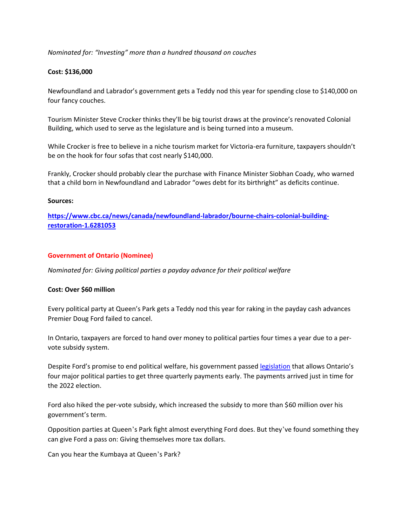## *Nominated for: "Investing" more than a hundred thousand on couches*

### **Cost: \$136,000**

Newfoundland and Labrador's government gets a Teddy nod this year for spending close to \$140,000 on four fancy couches.

Tourism Minister Steve Crocker thinks they'll be big tourist draws at the province's renovated Colonial Building, which used to serve as the legislature and is being turned into a museum.

While Crocker is free to believe in a niche tourism market for Victoria-era furniture, taxpayers shouldn't be on the hook for four sofas that cost nearly \$140,000.

Frankly, Crocker should probably clear the purchase with Finance Minister Siobhan Coady, who warned that a child born in Newfoundland and Labrador "owes debt for its birthright" as deficits continue.

#### **Sources:**

**[https://www.cbc.ca/news/canada/newfoundland-labrador/bourne-chairs-colonial-building](https://www.cbc.ca/news/canada/newfoundland-labrador/bourne-chairs-colonial-building-restoration-1.6281053)[restoration-1.6281053](https://www.cbc.ca/news/canada/newfoundland-labrador/bourne-chairs-colonial-building-restoration-1.6281053)**

### **Government of Ontario (Nominee)**

*Nominated for: Giving political parties a payday advance for their political welfare*

#### **Cost: Over \$60 million**

Every political party at Queen's Park gets a Teddy nod this year for raking in the payday cash advances Premier Doug Ford failed to cancel.

In Ontario, taxpayers are forced to hand over money to political parties four times a year due to a pervote subsidy system.

Despite Ford's promise to end political welfare, his government passed [legislation](https://www.ola.org/sites/default/files/node-files/bill/document/pdf/2021/2021-04/b254ra_e.pdf) that allows Ontario's four major political parties to get three quarterly payments early. The payments arrived just in time for the 2022 election.

Ford also hiked the per-vote subsidy, which increased the subsidy to more than \$60 million over his government's term.

Opposition parties at Queen's Park fight almost everything Ford does. But they've found something they can give Ford a pass on: Giving themselves more tax dollars.

Can you hear the Kumbaya at Queen's Park?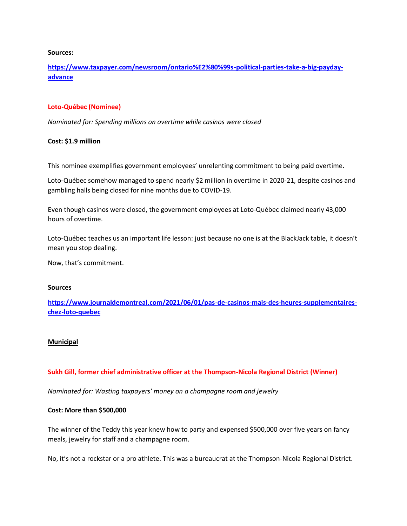#### **Sources:**

**[https://www.taxpayer.com/newsroom/ontario%E2%80%99s-political-parties-take-a-big-payday](https://www.taxpayer.com/newsroom/ontario%E2%80%99s-political-parties-take-a-big-payday-advance)[advance](https://www.taxpayer.com/newsroom/ontario%E2%80%99s-political-parties-take-a-big-payday-advance)**

### **Loto-Québec (Nominee)**

*Nominated for: Spending millions on overtime while casinos were closed* 

### **Cost: \$1.9 million**

This nominee exemplifies government employees' unrelenting commitment to being paid overtime.

Loto-Québec somehow managed to spend nearly \$2 million in overtime in 2020-21, despite casinos and gambling halls being closed for nine months due to COVID-19.

Even though casinos were closed, the government employees at Loto-Québec claimed nearly 43,000 hours of overtime.

Loto-Québec teaches us an important life lesson: just because no one is at the BlackJack table, it doesn't mean you stop dealing.

Now, that's commitment.

#### **Sources**

**[https://www.journaldemontreal.com/2021/06/01/pas-de-casinos-mais-des-heures-supplementaires](https://www.journaldemontreal.com/2021/06/01/pas-de-casinos-mais-des-heures-supplementaires-chez-loto-quebec)[chez-loto-quebec](https://www.journaldemontreal.com/2021/06/01/pas-de-casinos-mais-des-heures-supplementaires-chez-loto-quebec)**

## **Municipal**

## **Sukh Gill, former chief administrative officer at the Thompson-Nicola Regional District (Winner)**

*Nominated for: Wasting taxpayers' money on a champagne room and jewelry* 

#### **Cost: More than \$500,000**

The winner of the Teddy this year knew how to party and expensed \$500,000 over five years on fancy meals, jewelry for staff and a champagne room.

No, it's not a rockstar or a pro athlete. This was a bureaucrat at the Thompson-Nicola Regional District.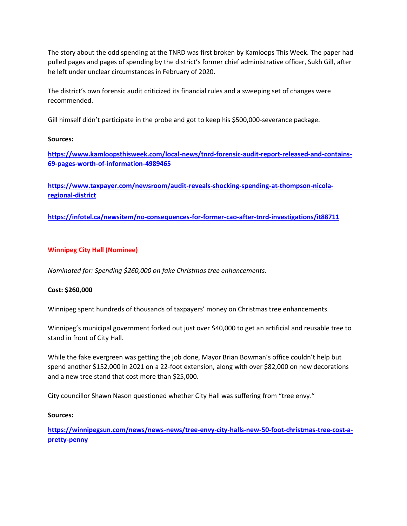The story about the odd spending at the TNRD was first broken by Kamloops This Week. The paper had pulled pages and pages of spending by the district's former chief administrative officer, Sukh Gill, after he left under unclear circumstances in February of 2020.

The district's own forensic audit criticized its financial rules and a sweeping set of changes were recommended.

Gill himself didn't participate in the probe and got to keep his \$500,000-severance package.

# **Sources:**

**[https://www.kamloopsthisweek.com/local-news/tnrd-forensic-audit-report-released-and-contains-](https://www.kamloopsthisweek.com/local-news/tnrd-forensic-audit-report-released-and-contains-69-pages-worth-of-information-4989465)[69-pages-worth-of-information-4989465](https://www.kamloopsthisweek.com/local-news/tnrd-forensic-audit-report-released-and-contains-69-pages-worth-of-information-4989465)**

**[https://www.taxpayer.com/newsroom/audit-reveals-shocking-spending-at-thompson-nicola](https://www.taxpayer.com/newsroom/audit-reveals-shocking-spending-at-thompson-nicola-regional-district)[regional-district](https://www.taxpayer.com/newsroom/audit-reveals-shocking-spending-at-thompson-nicola-regional-district)**

**<https://infotel.ca/newsitem/no-consequences-for-former-cao-after-tnrd-investigations/it88711>**

# **Winnipeg City Hall (Nominee)**

*Nominated for: Spending \$260,000 on fake Christmas tree enhancements.*

## **Cost: \$260,000**

Winnipeg spent hundreds of thousands of taxpayers' money on Christmas tree enhancements.

Winnipeg's municipal government forked out just over \$40,000 to get an artificial and reusable tree to stand in front of City Hall.

While the fake evergreen was getting the job done, Mayor Brian Bowman's office couldn't help but spend another \$152,000 in 2021 on a 22-foot extension, along with over \$82,000 on new decorations and a new tree stand that cost more than \$25,000.

City councillor Shawn Nason questioned whether City Hall was suffering from "tree envy."

## **Sources:**

**[https://winnipegsun.com/news/news-news/tree-envy-city-halls-new-50-foot-christmas-tree-cost-a](https://winnipegsun.com/news/news-news/tree-envy-city-halls-new-50-foot-christmas-tree-cost-a-pretty-penny)[pretty-penny](https://winnipegsun.com/news/news-news/tree-envy-city-halls-new-50-foot-christmas-tree-cost-a-pretty-penny)**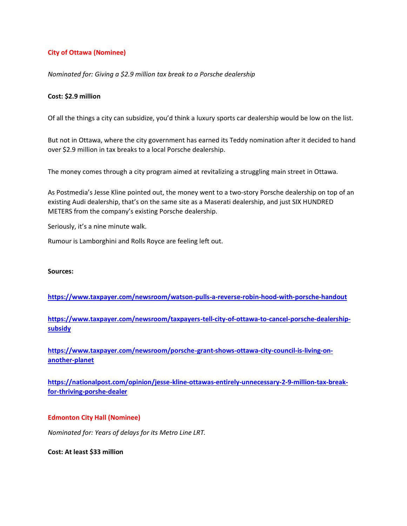# **City of Ottawa (Nominee)**

### *Nominated for: Giving a \$2.9 million tax break to a Porsche dealership*

### **Cost: \$2.9 million**

Of all the things a city can subsidize, you'd think a luxury sports car dealership would be low on the list.

But not in Ottawa, where the city government has earned its Teddy nomination after it decided to hand over \$2.9 million in tax breaks to a local Porsche dealership.

The money comes through a city program aimed at revitalizing a struggling main street in Ottawa.

As Postmedia's Jesse Kline pointed out, the money went to a two-story Porsche dealership on top of an existing Audi dealership, that's on the same site as a Maserati dealership, and just SIX HUNDRED METERS from the company's existing Porsche dealership.

Seriously, it's a nine minute walk.

Rumour is Lamborghini and Rolls Royce are feeling left out.

#### **Sources:**

**<https://www.taxpayer.com/newsroom/watson-pulls-a-reverse-robin-hood-with-porsche-handout>**

**[https://www.taxpayer.com/newsroom/taxpayers-tell-city-of-ottawa-to-cancel-porsche-dealership](https://www.taxpayer.com/newsroom/taxpayers-tell-city-of-ottawa-to-cancel-porsche-dealership-subsidy)[subsidy](https://www.taxpayer.com/newsroom/taxpayers-tell-city-of-ottawa-to-cancel-porsche-dealership-subsidy)**

**[https://www.taxpayer.com/newsroom/porsche-grant-shows-ottawa-city-council-is-living-on](https://www.taxpayer.com/newsroom/porsche-grant-shows-ottawa-city-council-is-living-on-another-planet)[another-planet](https://www.taxpayer.com/newsroom/porsche-grant-shows-ottawa-city-council-is-living-on-another-planet)**

**[https://nationalpost.com/opinion/jesse-kline-ottawas-entirely-unnecessary-2-9-million-tax-break](https://nationalpost.com/opinion/jesse-kline-ottawas-entirely-unnecessary-2-9-million-tax-break-for-thriving-porshe-dealer)[for-thriving-porshe-dealer](https://nationalpost.com/opinion/jesse-kline-ottawas-entirely-unnecessary-2-9-million-tax-break-for-thriving-porshe-dealer)**

#### **Edmonton City Hall (Nominee)**

*Nominated for: Years of delays for its Metro Line LRT.*

**Cost: At least \$33 million**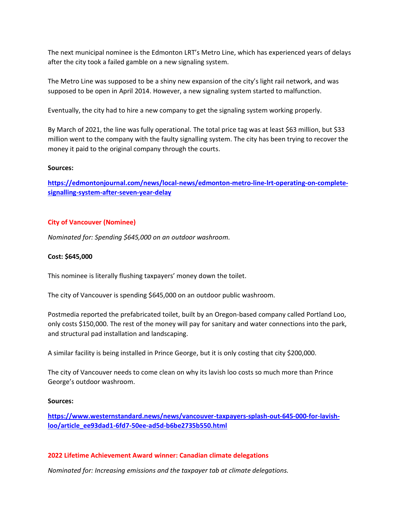The next municipal nominee is the Edmonton LRT's Metro Line, which has experienced years of delays after the city took a failed gamble on a new signaling system.

The Metro Line was supposed to be a shiny new expansion of the city's light rail network, and was supposed to be open in April 2014. However, a new signaling system started to malfunction.

Eventually, the city had to hire a new company to get the signaling system working properly.

By March of 2021, the line was fully operational. The total price tag was at least \$63 million, but \$33 million went to the company with the faulty signalling system. The city has been trying to recover the money it paid to the original company through the courts.

### **Sources:**

**[https://edmontonjournal.com/news/local-news/edmonton-metro-line-lrt-operating-on-complete](https://edmontonjournal.com/news/local-news/edmonton-metro-line-lrt-operating-on-complete-signalling-system-after-seven-year-delay)[signalling-system-after-seven-year-delay](https://edmontonjournal.com/news/local-news/edmonton-metro-line-lrt-operating-on-complete-signalling-system-after-seven-year-delay)**

# **City of Vancouver (Nominee)**

*Nominated for: Spending \$645,000 on an outdoor washroom.*

## **Cost: \$645,000**

This nominee is literally flushing taxpayers' money down the toilet.

The city of Vancouver is spending \$645,000 on an outdoor public washroom.

Postmedia reported the prefabricated toilet, built by an Oregon-based company called Portland Loo, only costs \$150,000. The rest of the money will pay for sanitary and water connections into the park, and structural pad installation and landscaping.

A similar facility is being installed in Prince George, but it is only costing that city \$200,000.

The city of Vancouver needs to come clean on why its lavish loo costs so much more than Prince George's outdoor washroom.

#### **Sources:**

**[https://www.westernstandard.news/news/vancouver-taxpayers-splash-out-645-000-for-lavish](https://www.westernstandard.news/news/vancouver-taxpayers-splash-out-645-000-for-lavish-loo/article_ee93dad1-6fd7-50ee-ad5d-b6be2735b550.html)[loo/article\\_ee93dad1-6fd7-50ee-ad5d-b6be2735b550.html](https://www.westernstandard.news/news/vancouver-taxpayers-splash-out-645-000-for-lavish-loo/article_ee93dad1-6fd7-50ee-ad5d-b6be2735b550.html)**

## **2022 Lifetime Achievement Award winner: Canadian climate delegations**

*Nominated for: Increasing emissions and the taxpayer tab at climate delegations.*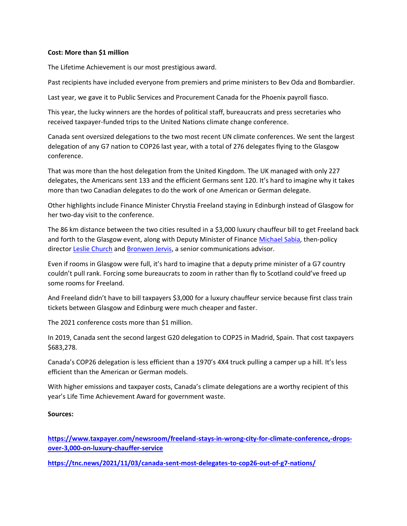### **Cost: More than \$1 million**

The Lifetime Achievement is our most prestigious award.

Past recipients have included everyone from premiers and prime ministers to Bev Oda and Bombardier.

Last year, we gave it to Public Services and Procurement Canada for the Phoenix payroll fiasco.

This year, the lucky winners are the hordes of political staff, bureaucrats and press secretaries who received taxpayer-funded trips to the United Nations climate change conference.

Canada sent oversized delegations to the two most recent UN climate conferences. We sent the largest delegation of any G7 nation to COP26 last year, with a total of 276 delegates flying to the Glasgow conference.

That was more than the host delegation from the United Kingdom. The UK managed with only 227 delegates, the Americans sent 133 and the efficient Germans sent 120. It's hard to imagine why it takes more than two Canadian delegates to do the work of one American or German delegate.

Other highlights include Finance Minister Chrystia Freeland staying in Edinburgh instead of Glasgow for her two-day visit to the conference.

The 86 km distance between the two cities resulted in a \$3,000 luxury chauffeur bill to get Freeland back and forth to the Glasgow event, along with Deputy Minister of Finance [Michael Sabia,](https://www.taxpayer.com/media/A-2021-00560%20Release%20Package%20Sabia%20(Watermarked).pdf) then-policy director [Leslie Church](https://www.taxpayer.com/media/A-2021-00559%20Release%20package%20Church%20(Watermarked).pdf) and [Bronwen Jervis,](https://www.taxpayer.com/media/A-2021-00565%20Release%20package%20Jervis%20(Watermarked).pdf) a senior communications advisor.

Even if rooms in Glasgow were full, it's hard to imagine that a deputy prime minister of a G7 country couldn't pull rank. Forcing some bureaucrats to zoom in rather than fly to Scotland could've freed up some rooms for Freeland.

And Freeland didn't have to bill taxpayers \$3,000 for a luxury chauffeur service because first class train tickets between Glasgow and Edinburg were much cheaper and faster.

The 2021 conference costs more than \$1 million.

In 2019, Canada sent the second largest G20 delegation to COP25 in Madrid, Spain. That cost taxpayers \$683,278.

Canada's COP26 delegation is less efficient than a 1970's 4X4 truck pulling a camper up a hill. It's less efficient than the American or German models.

With higher emissions and taxpayer costs, Canada's climate delegations are a worthy recipient of this year's Life Time Achievement Award for government waste.

## **Sources:**

**[https://www.taxpayer.com/newsroom/freeland-stays-in-wrong-city-for-climate-conference,-drops](https://www.taxpayer.com/newsroom/freeland-stays-in-wrong-city-for-climate-conference,-drops-over-3,000-on-luxury-chauffer-service)[over-3,000-on-luxury-chauffer-service](https://www.taxpayer.com/newsroom/freeland-stays-in-wrong-city-for-climate-conference,-drops-over-3,000-on-luxury-chauffer-service)**

**<https://tnc.news/2021/11/03/canada-sent-most-delegates-to-cop26-out-of-g7-nations/>**